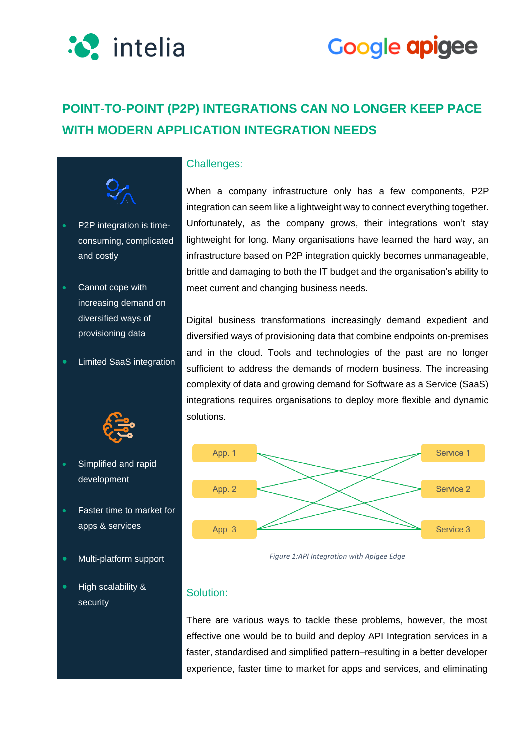



### **POINT-TO-POINT (P2P) INTEGRATIONS CAN NO LONGER KEEP PACE WITH MODERN APPLICATION INTEGRATION NEEDS**



- P2P integration is timeconsuming, complicated and costly
- Cannot cope with increasing demand on diversified ways of provisioning data
- Limited SaaS integration



- Simplified and rapid development
- Faster time to market for apps & services
- Multi-platform support
- High scalability & security

### Challenges:

When a company infrastructure only has a few components, P2P integration can seem like a lightweight way to connect everything together. Unfortunately, as the company grows, their integrations won't stay lightweight for long. Many organisations have learned the hard way, an infrastructure based on P2P integration quickly becomes unmanageable, brittle and damaging to both the IT budget and the organisation's ability to meet current and changing business needs.

Digital business transformations increasingly demand expedient and diversified ways of provisioning data that combine endpoints on-premises and in the cloud. Tools and technologies of the past are no longer sufficient to address the demands of modern business. The increasing complexity of data and growing demand for Software as a Service (SaaS) integrations requires organisations to deploy more flexible and dynamic solutions.



*Figure 1:API Integration with Apigee Edge*

### Solution:

There are various ways to tackle these problems, however, the most effective one would be to build and deploy API Integration services in a faster, standardised and simplified pattern–resulting in a better developer experience, faster time to market for apps and services, and eliminating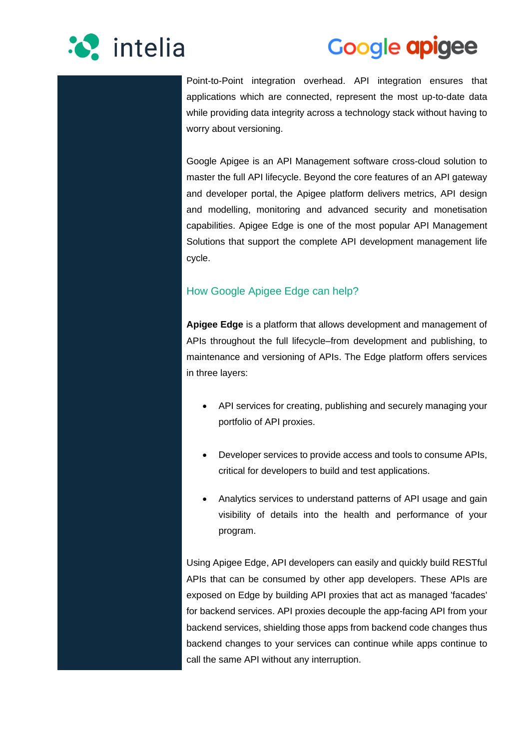

## **Google apigee**

Point-to-Point integration overhead. API integration ensures that applications which are connected, represent the most up-to-date data while providing data integrity across a technology stack without having to worry about versioning.

Google Apigee is an API Management software cross-cloud solution to master the full API lifecycle. Beyond the core features of an API gateway and developer portal, the Apigee platform delivers metrics, API design and modelling, monitoring and advanced security and monetisation capabilities. Apigee Edge is one of the most popular API Management Solutions that support the complete API development management life cycle.

### How Google Apigee Edge can help?

**Apigee Edge** is a platform that allows development and management of APIs throughout the full lifecycle–from development and publishing, to maintenance and versioning of APIs. The Edge platform offers services in three layers:

- API services for creating, publishing and securely managing your portfolio of API proxies.
- Developer services to provide access and tools to consume APIs, critical for developers to build and test applications.
- Analytics services to understand patterns of API usage and gain visibility of details into the health and performance of your program.

Using Apigee Edge, API developers can easily and quickly build RESTful APIs that can be consumed by other app developers. These APIs are exposed on Edge by building API proxies that act as managed 'facades' for backend services. API proxies decouple the app-facing API from your backend services, shielding those apps from backend code changes thus backend changes to your services can continue while apps continue to call the same API without any interruption.